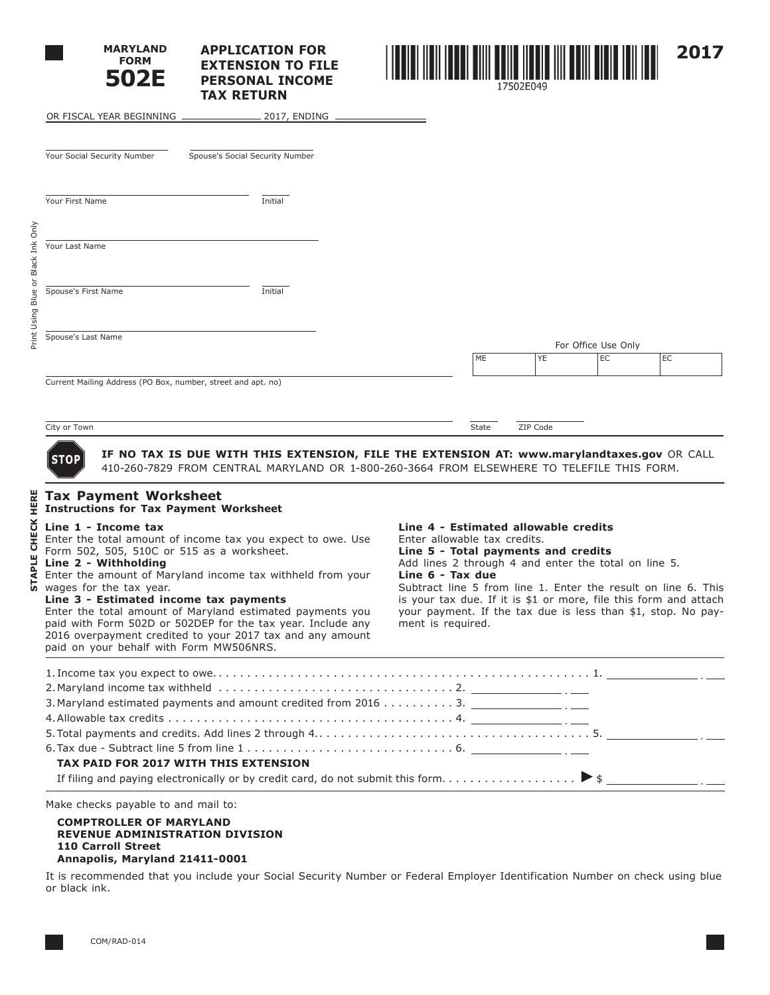|                                           | <b>MARYLAND</b><br><b>FORM</b><br>502E                                                                                                                                                                                                                     | <b>APPLICATION FOR</b><br><b>EXTENSION TO FILE</b><br><b>PERSONAL INCOME</b><br><b>TAX RETURN</b>                                                                                                                                                                                                                  |                                                                                                                                                                                                                                                                                                                                                                                                                    | 17502F049 |          |                     |    | 2017 |
|-------------------------------------------|------------------------------------------------------------------------------------------------------------------------------------------------------------------------------------------------------------------------------------------------------------|--------------------------------------------------------------------------------------------------------------------------------------------------------------------------------------------------------------------------------------------------------------------------------------------------------------------|--------------------------------------------------------------------------------------------------------------------------------------------------------------------------------------------------------------------------------------------------------------------------------------------------------------------------------------------------------------------------------------------------------------------|-----------|----------|---------------------|----|------|
|                                           | OR FISCAL YEAR BEGINNING                                                                                                                                                                                                                                   | 2017, ENDING                                                                                                                                                                                                                                                                                                       |                                                                                                                                                                                                                                                                                                                                                                                                                    |           |          |                     |    |      |
|                                           | Your Social Security Number                                                                                                                                                                                                                                | Spouse's Social Security Number                                                                                                                                                                                                                                                                                    |                                                                                                                                                                                                                                                                                                                                                                                                                    |           |          |                     |    |      |
|                                           | Your First Name                                                                                                                                                                                                                                            | Initial                                                                                                                                                                                                                                                                                                            |                                                                                                                                                                                                                                                                                                                                                                                                                    |           |          |                     |    |      |
| Black Ink Only                            | Your Last Name                                                                                                                                                                                                                                             |                                                                                                                                                                                                                                                                                                                    |                                                                                                                                                                                                                                                                                                                                                                                                                    |           |          |                     |    |      |
| Blue or                                   | Spouse's First Name                                                                                                                                                                                                                                        | Initial                                                                                                                                                                                                                                                                                                            |                                                                                                                                                                                                                                                                                                                                                                                                                    |           |          |                     |    |      |
| Print Using                               | Spouse's Last Name                                                                                                                                                                                                                                         |                                                                                                                                                                                                                                                                                                                    |                                                                                                                                                                                                                                                                                                                                                                                                                    |           |          | For Office Use Only |    |      |
|                                           |                                                                                                                                                                                                                                                            |                                                                                                                                                                                                                                                                                                                    | ME                                                                                                                                                                                                                                                                                                                                                                                                                 |           | YE       | EC                  | EC |      |
|                                           | City or Town                                                                                                                                                                                                                                               |                                                                                                                                                                                                                                                                                                                    | <b>State</b>                                                                                                                                                                                                                                                                                                                                                                                                       |           | ZIP Code |                     |    |      |
|                                           | <b>STOP</b><br><b>Tax Payment Worksheet</b>                                                                                                                                                                                                                | IF NO TAX IS DUE WITH THIS EXTENSION, FILE THE EXTENSION AT: www.marylandtaxes.gov OR CALL<br>410-260-7829 FROM CENTRAL MARYLAND OR 1-800-260-3664 FROM ELSEWHERE TO TELEFILE THIS FORM.                                                                                                                           |                                                                                                                                                                                                                                                                                                                                                                                                                    |           |          |                     |    |      |
| HERE<br><b>CHECK</b><br>ш<br><b>STAPL</b> | <b>Instructions for Tax Payment Worksheet</b><br>Line 1 - Income tax<br>Form 502, 505, 510C or 515 as a worksheet.<br>Line 2 - Withholding<br>wages for the tax year.<br>Line 3 - Estimated income tax payments<br>paid on your behalf with Form MW506NRS. | Enter the total amount of income tax you expect to owe. Use<br>Enter the amount of Maryland income tax withheld from your<br>Enter the total amount of Maryland estimated payments you<br>paid with Form 502D or 502DEP for the tax year. Include any<br>2016 overpayment credited to your 2017 tax and any amount | Line 4 - Estimated allowable credits<br>Enter allowable tax credits.<br>Line 5 - Total payments and credits<br>Add lines 2 through 4 and enter the total on line 5.<br>Line 6 - Tax due<br>Subtract line 5 from line 1. Enter the result on line 6. This<br>is your tax due. If it is $$1$ or more, file this form and attach<br>your payment. If the tax due is less than \$1, stop. No pay-<br>ment is required. |           |          |                     |    |      |

#### **COMPTROLLER OF MARYLAND REVENUE ADMINISTRATION DIVISION 110 Carroll Street Annapolis, Maryland 21411-0001**

It is recommended that you include your Social Security Number or Federal Employer Identification Number on check using blue or black ink.